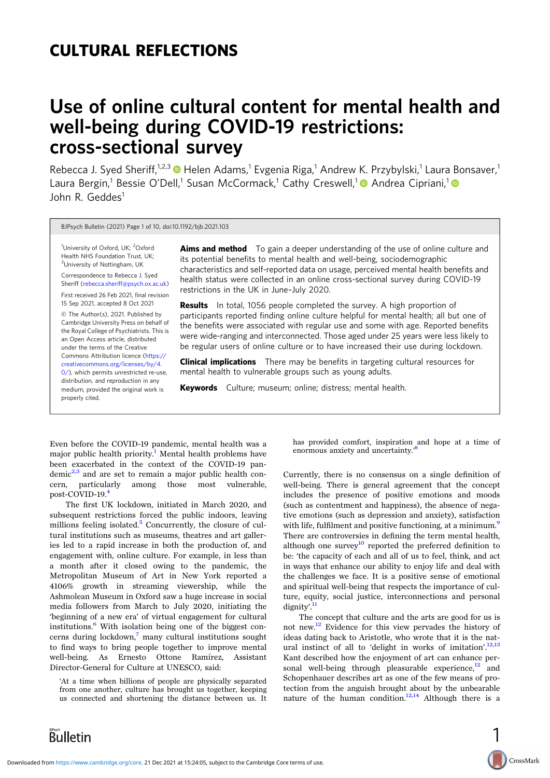# CULTURAL REFLECTIONS

# Use of online cultural content for mental health and well-being during COVID-19 restrictions: cross-sectional survey

Rebecca J. Syed Sheriff,<sup>1,2,3</sup> D Helen Adams,<sup>1</sup> Evgenia Riga,<sup>1</sup> Andrew K. Przybylski,<sup>1</sup> Laura Bonsaver,<sup>1</sup> Laura Bergin,<sup>1</sup> Bessie O'Dell,<sup>1</sup> Susan McCormack,<sup>1</sup> Cathy Creswell,<sup>1</sup> Andrea Cipriani,<sup>1</sup> John R. Geddes<sup>1</sup>

BJPsych Bulletin (2021) Page 1 of 10, doi:10.1192/bjb.2021.103

<sup>1</sup>University of Oxford, UK; <sup>2</sup>Oxford Health NHS Foundation Trust, UK; <sup>3</sup>University of Nottingham, UK

Correspondence to Rebecca J. Syed Sheriff (rebecca.sheriff[@psych.ox.ac.uk](mailto:rebecca.sheriff@psych.ox.ac.uk))

First received 26 Feb 2021, final revision 15 Sep 2021, accepted 8 Oct 2021

© The Author(s), 2021. Published by Cambridge University Press on behalf of the Royal College of Psychiatrists. This is an Open Access article, distributed under the terms of the Creative Commons Attribution licence [\(https://](https://creativecommons.org/licenses/by/4.0/) [creativecommons.org/licenses/by/4.](https://creativecommons.org/licenses/by/4.0/) [0/](https://creativecommons.org/licenses/by/4.0/)), which permits unrestricted re-use, distribution, and reproduction in any medium, provided the original work is properly cited.

**Aims and method** To gain a deeper understanding of the use of online culture and its potential benefits to mental health and well-being, sociodemographic characteristics and self-reported data on usage, perceived mental health benefits and health status were collected in an online cross-sectional survey during COVID-19 restrictions in the UK in June–July 2020.

**Results** In total, 1056 people completed the survey. A high proportion of participants reported finding online culture helpful for mental health; all but one of the benefits were associated with regular use and some with age. Reported benefits were wide-ranging and interconnected. Those aged under 25 years were less likely to be regular users of online culture or to have increased their use during lockdown.

**Clinical implications** There may be benefits in targeting cultural resources for mental health to vulnerable groups such as young adults.

Keywords Culture; museum; online; distress; mental health.

Even before the COVID-19 pandemic, mental health was a major public health priority.<sup>[1](#page-8-0)</sup> Mental health problems have been exacerbated in the context of the COVID-19 pan $d$ emic<sup>[2](#page-8-0),[3](#page-8-0)</sup> and are set to remain a major public health concern, particularly among those most vulnerable, post-COVID-19.[4](#page-8-0)

The first UK lockdown, initiated in March 2020, and subsequent restrictions forced the public indoors, leaving millions feeling isolated. $5$  Concurrently, the closure of cultural institutions such as museums, theatres and art galleries led to a rapid increase in both the production of, and engagement with, online culture. For example, in less than a month after it closed owing to the pandemic, the Metropolitan Museum of Art in New York reported a 4106% growth in streaming viewership, while the Ashmolean Museum in Oxford saw a huge increase in social media followers from March to July 2020, initiating the 'beginning of a new era' of virtual engagement for cultural institutions.[6](#page-8-0) With isolation being one of the biggest concerns during lockdown, $\frac{7}{1}$  many cultural institutions sought to find ways to bring people together to improve mental well-being. As Ernesto Ottone Ramírez, Assistant Director-General for Culture at UNESCO, said:

'At a time when billions of people are physically separated from one another, culture has brought us together, keeping us connected and shortening the distance between us. It

has provided comfort, inspiration and hope at a time of approximate projection of upcontainty.<sup>[8](#page-8-0)</sup> enormous anxiety and uncertainty.'

Currently, there is no consensus on a single definition of well-being. There is general agreement that the concept includes the presence of positive emotions and moods (such as contentment and happiness), the absence of negative emotions (such as depression and anxiety), satisfaction with life, fulfilment and positive functioning, at a minimum.<sup>[9](#page-8-0)</sup> There are controversies in defining the term mental health, although one survey<sup>[10](#page-8-0)</sup> reported the preferred definition to be: 'the capacity of each and all of us to feel, think, and act in ways that enhance our ability to enjoy life and deal with the challenges we face. It is a positive sense of emotional and spiritual well-being that respects the importance of culture, equity, social justice, interconnections and personal dignity<sup>.[11](#page-8-0)</sup>

The concept that culture and the arts are good for us is not new.[12](#page-8-0) Evidence for this view pervades the history of ideas dating back to Aristotle, who wrote that it is the nat-ural instinct of all to 'delight in works of imitation'.<sup>[12,13](#page-8-0)</sup> Kant described how the enjoyment of art can enhance personal well-being through pleasurable experience, $12$  and Schopenhauer describes art as one of the few means of protection from the anguish brought about by the unbearable nature of the human condition.<sup>12,14</sup> Although there is a

1

CrossMark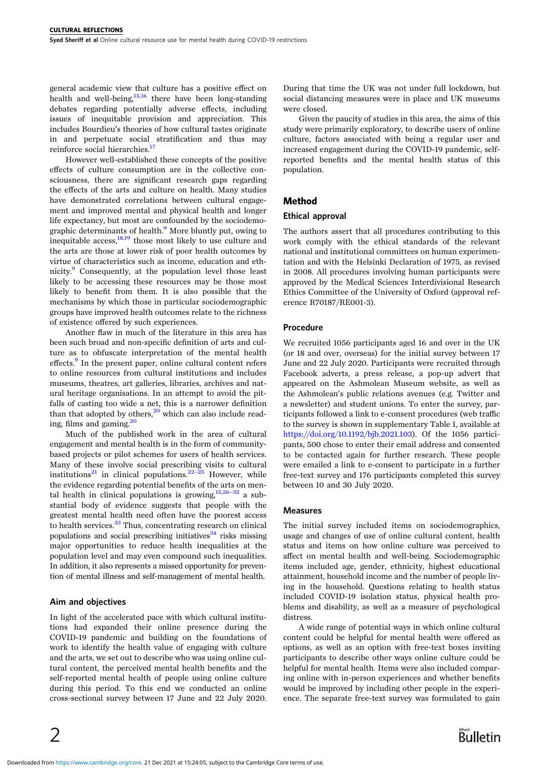general academic view that culture has a positive effect on health and well-being. $\frac{15,16}{15}$  $\frac{15,16}{15}$  $\frac{15,16}{15}$  there have been long-standing debates regarding potentially adverse effects, including issues of inequitable provision and appreciation. This includes Bourdieu's theories of how cultural tastes originate in and perpetuate social stratification and thus may reinforce social hierarchies.<sup>17</sup>

However well-established these concepts of the positive effects of culture consumption are in the collective consciousness, there are significant research gaps regarding the effects of the arts and culture on health. Many studies have demonstrated correlations between cultural engagement and improved mental and physical health and longer life expectancy, but most are confounded by the sociodemo-graphic determinants of health.<sup>[9](#page-8-0)</sup> More bluntly put, owing to inequitable access, $\frac{18,19}{18}$  $\frac{18,19}{18}$  $\frac{18,19}{18}$  those most likely to use culture and the arts are those at lower risk of poor health outcomes by virtue of characteristics such as income, education and eth-nicity.<sup>[9](#page-8-0)</sup> Consequently, at the population level those least likely to be accessing these resources may be those most likely to benefit from them. It is also possible that the mechanisms by which those in particular sociodemographic groups have improved health outcomes relate to the richness of existence offered by such experiences.

Another flaw in much of the literature in this area has been such broad and non-specific definition of arts and culture as to obfuscate interpretation of the mental health effects.<sup>[9](#page-8-0)</sup> In the present paper, online cultural content refers to online resources from cultural institutions and includes museums, theatres, art galleries, libraries, archives and natural heritage organisations. In an attempt to avoid the pitfalls of casting too wide a net, this is a narrower definition than that adopted by others, $20$  which can also include reading, films and gaming[.20](#page-9-0)

Much of the published work in the area of cultural engagement and mental health is in the form of communitybased projects or pilot schemes for users of health services. Many of these involve social prescribing visits to cultural institutions<sup>[21](#page-9-0)</sup> in clinical populations.<sup>[22](#page-9-0)–[25](#page-9-0)</sup> However, while the evidence regarding potential benefits of the arts on mental health in clinical populations is growing, $15,26-32$  $15,26-32$  $15,26-32$  a substantial body of evidence suggests that people with the greatest mental health need often have the poorest access to health services.<sup>[33](#page-9-0)</sup> Thus, concentrating research on clinical populations and social prescribing initiatives $34$  risks missing major opportunities to reduce health inequalities at the population level and may even compound such inequalities. In addition, it also represents a missed opportunity for prevention of mental illness and self-management of mental health.

#### Aim and objectives

In light of the accelerated pace with which cultural institutions had expanded their online presence during the COVID-19 pandemic and building on the foundations of work to identify the health value of engaging with culture and the arts, we set out to describe who was using online cultural content, the perceived mental health benefits and the self-reported mental health of people using online culture during this period. To this end we conducted an online cross-sectional survey between 17 June and 22 July 2020.

During that time the UK was not under full lockdown, but social distancing measures were in place and UK museums were closed.

Given the paucity of studies in this area, the aims of this study were primarily exploratory, to describe users of online culture, factors associated with being a regular user and increased engagement during the COVID-19 pandemic, selfreported benefits and the mental health status of this population.

# Method

## Ethical approval

The authors assert that all procedures contributing to this work comply with the ethical standards of the relevant national and institutional committees on human experimentation and with the Helsinki Declaration of 1975, as revised in 2008. All procedures involving human participants were approved by the Medical Sciences Interdivisional Research Ethics Committee of the University of Oxford (approval reference R70187/RE001-3).

## Procedure

We recruited 1056 participants aged 16 and over in the UK (or 18 and over, overseas) for the initial survey between 17 June and 22 July 2020. Participants were recruited through Facebook adverts, a press release, a pop-up advert that appeared on the Ashmolean Museum website, as well as the Ashmolean's public relations avenues (e.g. Twitter and a newsletter) and student unions. To enter the survey, participants followed a link to e-consent procedures (web traffic to the survey is shown in supplementary Table 1, available at <https://doi.org/10.1192/bjb.2021.103>). Of the 1056 participants, 500 chose to enter their email address and consented to be contacted again for further research. These people were emailed a link to e-consent to participate in a further free-text survey and 176 participants completed this survey between 10 and 30 July 2020.

#### Measures

The initial survey included items on sociodemographics, usage and changes of use of online cultural content, health status and items on how online culture was perceived to affect on mental health and well-being. Sociodemographic items included age, gender, ethnicity, highest educational attainment, household income and the number of people living in the household. Questions relating to health status included COVID-19 isolation status, physical health problems and disability, as well as a measure of psychological distress.

A wide range of potential ways in which online cultural content could be helpful for mental health were offered as options, as well as an option with free-text boxes inviting participants to describe other ways online culture could be helpful for mental health. Items were also included comparing online with in-person experiences and whether benefits would be improved by including other people in the experience. The separate free-text survey was formulated to gain

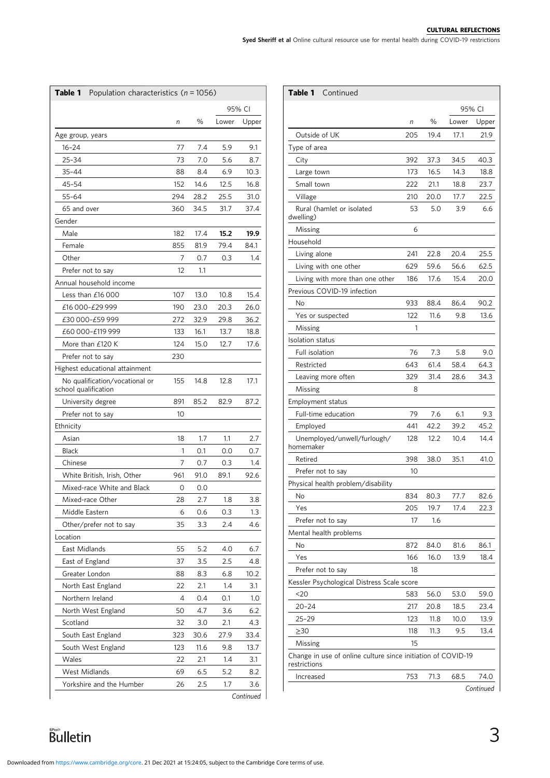|                                                                                                |  |  | <b>CULTURAL REFLECTIONS</b> |
|------------------------------------------------------------------------------------------------|--|--|-----------------------------|
| Syed Sheriff et al Online cultural resource use for mental health during COVID-19 restrictions |  |  |                             |

<span id="page-2-0"></span>

| Table 1<br>Population characteristics ( $n = 1056$ )   |        |      |       |           |  |
|--------------------------------------------------------|--------|------|-------|-----------|--|
|                                                        | 95% CI |      |       |           |  |
|                                                        | n      | %    | Lower | Upper     |  |
| Age group, years                                       |        |      |       |           |  |
| $16 - 24$                                              | 77     | 7.4  | 5.9   | 9.1       |  |
| 25-34                                                  | 73     | 7.0  | 5.6   | 8.7       |  |
| $35 - 44$                                              | 88     | 8.4  | 6.9   | 10.3      |  |
| 45-54                                                  | 152    | 14.6 | 12.5  | 16.8      |  |
| $55 - 64$                                              | 294    | 28.2 | 25.5  | 31.0      |  |
| 65 and over                                            | 360    | 34.5 | 31.7  | 37.4      |  |
| Gender                                                 |        |      |       |           |  |
| Male                                                   | 182    | 17.4 | 15.2  | 19.9      |  |
| Female                                                 | 855    | 81.9 | 79.4  | 84.1      |  |
| Other                                                  | 7      | 0.7  | 0.3   | 1.4       |  |
| Prefer not to say                                      | 12     | 1.1  |       |           |  |
| Annual household income                                |        |      |       |           |  |
| Less than $£16000$                                     | 107    | 13.0 | 10.8  | 15.4      |  |
| £16 000-£29 999                                        | 190    | 23.0 | 20.3  | 26.0      |  |
| £30 000-£59 999                                        | 272    | 32.9 | 29.8  | 36.2      |  |
| £60 000-£119 999                                       | 133    | 16.1 | 13.7  | 18.8      |  |
| More than £120 K                                       | 124    | 15.0 | 12.7  | 17.6      |  |
| Prefer not to say                                      | 230    |      |       |           |  |
| Highest educational attainment                         |        |      |       |           |  |
| No qualification/vocational or<br>school qualification | 155    | 14.8 | 12.8  | 17.1      |  |
| University degree                                      | 891    | 85.2 | 82.9  | 87.2      |  |
| Prefer not to say                                      | 10     |      |       |           |  |
| Ethnicity                                              |        |      |       |           |  |
| Asian                                                  | 18     | 1.7  | 1.1   | 2.7       |  |
| <b>Black</b>                                           | 1      | 0.1  | 0.0   | 0.7       |  |
| Chinese                                                | 7      | 0.7  | 0.3   | 1.4       |  |
| White British, Irish, Other                            | 961    | 91.0 | 89.1  | 92.6      |  |
| Mixed-race White and Black                             | 0      | 0.0  |       |           |  |
| Mixed-race Other                                       | 28     | 2.7  | 1.8   | 3.8       |  |
| Middle Eastern                                         | 6      | 0.6  | 0.3   | 1.3       |  |
| Other/prefer not to say                                | 35     | 3.3  | 2.4   | 4.6       |  |
| Location                                               |        |      |       |           |  |
| East Midlands                                          | 55     | 5.2  | 4.0   | 6.7       |  |
| East of England                                        | 37     | 3.5  | 2.5   | 4.8       |  |
| Greater London                                         | 88     | 8.3  | 6.8   | 10.2      |  |
| North East England                                     | 22     | 2.1  | 1.4   | 3.1       |  |
| Northern Ireland                                       | 4      | 0.4  | 0.1   | 1.0       |  |
| North West England                                     | 50     | 4.7  | 3.6   | 6.2       |  |
| Scotland                                               | 32     | 3.0  | 2.1   | 4.3       |  |
| South East England                                     | 323    | 30.6 | 27.9  | 33.4      |  |
| South West England                                     | 123    | 11.6 | 9.8   | 13.7      |  |
| Wales                                                  | 22     | 2.1  | 1.4   | 3.1       |  |
| <b>West Midlands</b>                                   | 69     | 6.5  | 5.2   | 8.2       |  |
| Yorkshire and the Humber                               | 26     | 2.5  | 1.7   | 3.6       |  |
|                                                        |        |      |       | Continued |  |

| Table 1<br>Continued                                                         |     |      |       |           |
|------------------------------------------------------------------------------|-----|------|-------|-----------|
|                                                                              |     |      |       | 95% CI    |
|                                                                              | n   | $\%$ | Lower | Upper     |
| Outside of UK                                                                | 205 | 19.4 | 17.1  | 21.9      |
| Type of area                                                                 |     |      |       |           |
| City                                                                         | 392 | 37.3 | 34.5  | 40.3      |
| Large town                                                                   | 173 | 16.5 | 14.3  | 18.8      |
| Small town                                                                   | 222 | 21.1 | 18.8  | 23.7      |
| Village                                                                      | 210 | 20.0 | 17.7  | 22.5      |
| Rural (hamlet or isolated<br>dwelling)                                       | 53  | 5.0  | 3.9   | 6.6       |
| Missing                                                                      | 6   |      |       |           |
| Household                                                                    |     |      |       |           |
| Living alone                                                                 | 241 | 22.8 | 20.4  | 25.5      |
| Living with one other                                                        | 629 | 59.6 | 56.6  | 62.5      |
| Living with more than one other                                              | 186 | 17.6 | 15.4  | 20.0      |
| Previous COVID-19 infection                                                  |     |      |       |           |
| No                                                                           | 933 | 88.4 | 86.4  | 90.2      |
| Yes or suspected                                                             | 122 | 11.6 | 9.8   | 13.6      |
| Missing                                                                      | 1   |      |       |           |
| Isolation status                                                             |     |      |       |           |
| Full isolation                                                               | 76  | 7.3  | 5.8   | 9.0       |
| Restricted                                                                   | 643 | 61.4 | 58.4  | 64.3      |
| Leaving more often                                                           | 329 | 31.4 | 28.6  | 34.3      |
| Missing                                                                      | 8   |      |       |           |
| Employment status                                                            |     |      |       |           |
| Full-time education                                                          | 79  | 7.6  | 6.1   | 9.3       |
| Employed                                                                     | 441 | 42.2 | 39.2  | 45.2      |
| Unemployed/unwell/furlough/<br>homemaker                                     | 128 | 12.2 | 10.4  | 14.4      |
| Retired                                                                      | 398 | 38.0 | 35.1  | 41.0      |
| Prefer not to say                                                            | 10  |      |       |           |
| Physical health problem/disability                                           |     |      |       |           |
| No                                                                           | 834 | 80.3 | 77.7  | 82.6      |
| Yes                                                                          | 205 | 19.7 | 17.4  | 22.3      |
| Prefer not to say                                                            | 17  | 1.6  |       |           |
| Mental health problems                                                       |     |      |       |           |
| No                                                                           | 872 | 84.0 | 81.6  | 86.1      |
| Yes                                                                          | 166 | 16.0 | 13.9  | 18.4      |
| Prefer not to say                                                            | 18  |      |       |           |
| Kessler Psychological Distress Scale score                                   |     |      |       |           |
| 20                                                                           | 583 | 56.0 | 53.0  | 59.0      |
| $20 - 24$                                                                    | 217 | 20.8 | 18.5  | 23.4      |
| $25 - 29$                                                                    | 123 | 11.8 | 10.0  | 13.9      |
| $\geq$ 30                                                                    | 118 | 11.3 | 9.5   | 13.4      |
| Missing                                                                      | 15  |      |       |           |
| Change in use of online culture since initiation of COVID-19<br>restrictions |     |      |       |           |
| Increased                                                                    | 753 | 71.3 | 68.5  | 74.0      |
|                                                                              |     |      |       | Continued |

Continued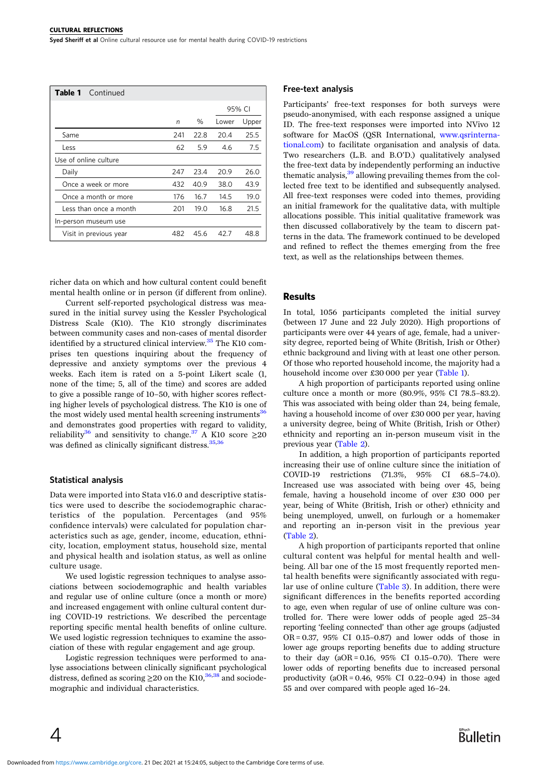| Table 1<br>Continued   |     |      |        |       |
|------------------------|-----|------|--------|-------|
|                        |     |      | 95% CI |       |
|                        | n   | $\%$ | Lower  | Upper |
| Same                   | 241 | 22.8 | 20.4   | 25.5  |
| Less                   | 62  | 5.9  | 4.6    | 7.5   |
| Use of online culture  |     |      |        |       |
| Daily                  | 247 | 23.4 | 20.9   | 26.0  |
| Once a week or more    | 432 | 40.9 | 38.0   | 43.9  |
| Once a month or more   | 176 | 16.7 | 14.5   | 19.0  |
| Less than once a month | 201 | 19.0 | 16.8   | 21.5  |
| In-person museum use   |     |      |        |       |
| Visit in previous year | 482 | 45.6 | 42.7   | 48.8  |

richer data on which and how cultural content could benefit mental health online or in person (if different from online).

Current self-reported psychological distress was measured in the initial survey using the Kessler Psychological Distress Scale (K10). The K10 strongly discriminates between community cases and non-cases of mental disorder identified by a structured clinical interview.<sup>[35](#page-9-0)</sup> The K10 comprises ten questions inquiring about the frequency of depressive and anxiety symptoms over the previous 4 weeks. Each item is rated on a 5-point Likert scale (1, none of the time; 5, all of the time) and scores are added to give a possible range of 10–50, with higher scores reflecting higher levels of psychological distress. The K10 is one of the most widely used mental health screening instruments<sup>36</sup> and demonstrates good properties with regard to validity, reliability<sup>[36](#page-9-0)</sup> and sensitivity to change.<sup>[37](#page-9-0)</sup> A K10 score  $\geq$ 20 was defined as clinically significant distress.  $35,36$ 

#### Statistical analysis

 $\overline{4}$ 

Data were imported into Stata v16.0 and descriptive statistics were used to describe the sociodemographic characteristics of the population. Percentages (and 95% confidence intervals) were calculated for population characteristics such as age, gender, income, education, ethnicity, location, employment status, household size, mental and physical health and isolation status, as well as online culture usage.

We used logistic regression techniques to analyse associations between sociodemographic and health variables and regular use of online culture (once a month or more) and increased engagement with online cultural content during COVID-19 restrictions. We described the percentage reporting specific mental health benefits of online culture. We used logistic regression techniques to examine the association of these with regular engagement and age group.

Logistic regression techniques were performed to analyse associations between clinically significant psychological distress, defined as scoring  $\geq$  20 on the K10,<sup>[36](#page-9-0),[38](#page-9-0)</sup> and sociodemographic and individual characteristics.

#### Free-text analysis

Participants' free-text responses for both surveys were pseudo-anonymised, with each response assigned a unique ID. The free-text responses were imported into NVivo 12 software for MacOS (QSR International, [www.qsrinterna](https://www.qsrinternational.com)[tional.com\)](https://www.qsrinternational.com) to facilitate organisation and analysis of data. Two researchers (L.B. and B.O'D.) qualitatively analysed the free-text data by independently performing an inductive thematic analysis,  $39$  allowing prevailing themes from the collected free text to be identified and subsequently analysed. All free-text responses were coded into themes, providing an initial framework for the qualitative data, with multiple allocations possible. This initial qualitative framework was then discussed collaboratively by the team to discern patterns in the data. The framework continued to be developed and refined to reflect the themes emerging from the free text, as well as the relationships between themes.

#### **Results**

In total, 1056 participants completed the initial survey (between 17 June and 22 July 2020). High proportions of participants were over 44 years of age, female, had a university degree, reported being of White (British, Irish or Other) ethnic background and living with at least one other person. Of those who reported household income, the majority had a household income over £30 000 per year ([Table 1\)](#page-2-0).

A high proportion of participants reported using online culture once a month or more (80.9%, 95% CI 78.5–83.2). This was associated with being older than 24, being female, having a household income of over £30 000 per year, having a university degree, being of White (British, Irish or Other) ethnicity and reporting an in-person museum visit in the previous year [\(Table 2\)](#page-4-0).

In addition, a high proportion of participants reported increasing their use of online culture since the initiation of COVID-19 restrictions (71.3%, 95% CI 68.5–74.0). Increased use was associated with being over 45, being female, having a household income of over £30 000 per year, being of White (British, Irish or other) ethnicity and being unemployed, unwell, on furlough or a homemaker and reporting an in-person visit in the previous year ([Table 2](#page-4-0)).

A high proportion of participants reported that online cultural content was helpful for mental health and wellbeing. All bar one of the 15 most frequently reported mental health benefits were significantly associated with regular use of online culture ([Table 3](#page-5-0)). In addition, there were significant differences in the benefits reported according to age, even when regular of use of online culture was controlled for. There were lower odds of people aged 25–34 reporting 'feeling connected' than other age groups (adjusted OR = 0.37, 95% CI 0.15–0.87) and lower odds of those in lower age groups reporting benefits due to adding structure to their day  $(aOR = 0.16, 95\% \text{ CI } 0.15-0.70)$ . There were lower odds of reporting benefits due to increased personal productivity  $(aOR = 0.46, 95\% \text{ CI } 0.22-0.94)$  in those aged 55 and over compared with people aged 16–24.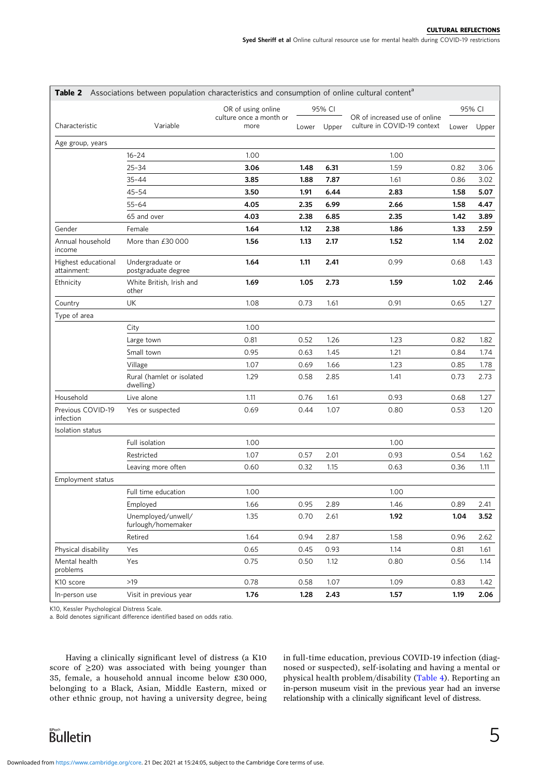<span id="page-4-0"></span>

|                                    | <b>Table 2</b> Associations between population characteristics and consumption of online cultural content <sup>a</sup> |                                 |       |        |                                                              |       |        |
|------------------------------------|------------------------------------------------------------------------------------------------------------------------|---------------------------------|-------|--------|--------------------------------------------------------------|-------|--------|
|                                    |                                                                                                                        | OR of using online              |       | 95% CI |                                                              |       | 95% CI |
| Characteristic                     | Variable                                                                                                               | culture once a month or<br>more | Lower | Upper  | OR of increased use of online<br>culture in COVID-19 context | Lower | Upper  |
| Age group, years                   |                                                                                                                        |                                 |       |        |                                                              |       |        |
|                                    | $16 - 24$                                                                                                              | 1.00                            |       |        | 1.00                                                         |       |        |
|                                    | $25 - 34$                                                                                                              | 3.06                            | 1.48  | 6.31   | 1.59                                                         | 0.82  | 3.06   |
|                                    | $35 - 44$                                                                                                              | 3.85                            | 1.88  | 7.87   | 1.61                                                         | 0.86  | 3.02   |
|                                    | 45-54                                                                                                                  | 3.50                            | 1.91  | 6.44   | 2.83                                                         | 1.58  | 5.07   |
|                                    | $55 - 64$                                                                                                              | 4.05                            | 2.35  | 6.99   | 2.66                                                         | 1.58  | 4.47   |
|                                    | 65 and over                                                                                                            | 4.03                            | 2.38  | 6.85   | 2.35                                                         | 1.42  | 3.89   |
| Gender                             | Female                                                                                                                 | 1.64                            | 1.12  | 2.38   | 1.86                                                         | 1.33  | 2.59   |
| Annual household<br>income         | More than £30 000                                                                                                      | 1.56                            | 1.13  | 2.17   | 1.52                                                         | 1.14  | 2.02   |
| Highest educational<br>attainment: | Undergraduate or<br>postgraduate degree                                                                                | 1.64                            | 1.11  | 2.41   | 0.99                                                         | 0.68  | 1.43   |
| Ethnicity                          | White British, Irish and<br>other                                                                                      | 1.69                            | 1.05  | 2.73   | 1.59                                                         | 1.02  | 2.46   |
| Country                            | UK                                                                                                                     | 1.08                            | 0.73  | 1.61   | 0.91                                                         | 0.65  | 1.27   |
| Type of area                       |                                                                                                                        |                                 |       |        |                                                              |       |        |
|                                    | City                                                                                                                   | 1.00                            |       |        |                                                              |       |        |
|                                    | Large town                                                                                                             | 0.81                            | 0.52  | 1.26   | 1.23                                                         | 0.82  | 1.82   |
|                                    | Small town                                                                                                             | 0.95                            | 0.63  | 1.45   | 1.21                                                         | 0.84  | 1.74   |
|                                    | Village                                                                                                                | 1.07                            | 0.69  | 1.66   | 1.23                                                         | 0.85  | 1.78   |
|                                    | Rural (hamlet or isolated<br>dwelling)                                                                                 | 1.29                            | 0.58  | 2.85   | 1.41                                                         | 0.73  | 2.73   |
| Household                          | Live alone                                                                                                             | 1.11                            | 0.76  | 1.61   | 0.93                                                         | 0.68  | 1.27   |
| Previous COVID-19<br>infection     | Yes or suspected                                                                                                       | 0.69                            | 0.44  | 1.07   | 0.80                                                         | 0.53  | 1.20   |
| Isolation status                   |                                                                                                                        |                                 |       |        |                                                              |       |        |
|                                    | Full isolation                                                                                                         | 1.00                            |       |        | 1.00                                                         |       |        |
|                                    | Restricted                                                                                                             | 1.07                            | 0.57  | 2.01   | 0.93                                                         | 0.54  | 1.62   |
|                                    | Leaving more often                                                                                                     | 0.60                            | 0.32  | 1.15   | 0.63                                                         | 0.36  | 1.11   |
| <b>Employment status</b>           |                                                                                                                        |                                 |       |        |                                                              |       |        |
|                                    | Full time education                                                                                                    | 1.00                            |       |        | 1.00                                                         |       |        |
|                                    | Employed                                                                                                               | 1.66                            | 0.95  | 2.89   | 1.46                                                         | 0.89  | 2.41   |
|                                    | Unemployed/unwell/<br>furlough/homemaker                                                                               | 1.35                            | 0.70  | 2.61   | 1.92                                                         | 1.04  | 3.52   |
|                                    | Retired                                                                                                                | 1.64                            | 0.94  | 2.87   | 1.58                                                         | 0.96  | 2.62   |
| Physical disability                | Yes                                                                                                                    | 0.65                            | 0.45  | 0.93   | 1.14                                                         | 0.81  | 1.61   |
| Mental health<br>problems          | Yes                                                                                                                    | 0.75                            | 0.50  | 1.12   | 0.80                                                         | 0.56  | 1.14   |
| K10 score                          | $>19$                                                                                                                  | 0.78                            | 0.58  | 1.07   | 1.09                                                         | 0.83  | 1.42   |
| In-person use                      | Visit in previous year                                                                                                 | 1.76                            | 1.28  | 2.43   | 1.57                                                         | 1.19  | 2.06   |

K10, Kessler Psychological Distress Scale.

a. Bold denotes significant difference identified based on odds ratio.

Having a clinically significant level of distress (a K10 score of  $\geq$ 20) was associated with being younger than 35, female, a household annual income below £30 000, belonging to a Black, Asian, Middle Eastern, mixed or other ethnic group, not having a university degree, being in full-time education, previous COVID-19 infection (diagnosed or suspected), self-isolating and having a mental or physical health problem/disability ([Table 4](#page-6-0)). Reporting an in-person museum visit in the previous year had an inverse relationship with a clinically significant level of distress.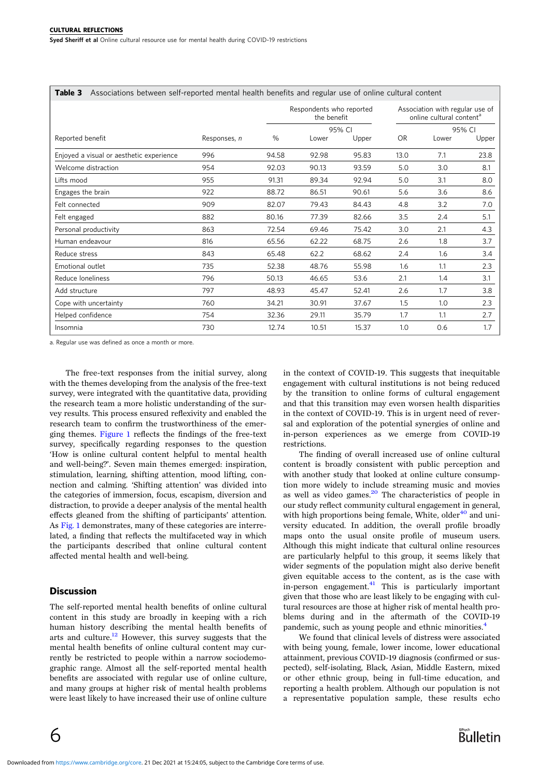<span id="page-5-0"></span>

| Associations between self-reported mental health benefits and regular use of online cultural content<br>Table 3 |              |       |                                         |        |           |                                                                         |        |
|-----------------------------------------------------------------------------------------------------------------|--------------|-------|-----------------------------------------|--------|-----------|-------------------------------------------------------------------------|--------|
|                                                                                                                 |              |       | Respondents who reported<br>the benefit |        |           | Association with regular use of<br>online cultural content <sup>a</sup> |        |
|                                                                                                                 |              |       |                                         | 95% CI |           |                                                                         | 95% CI |
| Reported benefit                                                                                                | Responses, n | $\%$  | Lower                                   | Upper  | <b>OR</b> | Lower                                                                   | Upper  |
| Enjoyed a visual or aesthetic experience                                                                        | 996          | 94.58 | 92.98                                   | 95.83  | 13.0      | 7.1                                                                     | 23.8   |
| Welcome distraction                                                                                             | 954          | 92.03 | 90.13                                   | 93.59  | 5.0       | 3.0                                                                     | 8.1    |
| Lifts mood                                                                                                      | 955          | 91.31 | 89.34                                   | 92.94  | 5.0       | 3.1                                                                     | 8.0    |
| Engages the brain                                                                                               | 922          | 88.72 | 86.51                                   | 90.61  | 5.6       | 3.6                                                                     | 8.6    |
| Felt connected                                                                                                  | 909          | 82.07 | 79.43                                   | 84.43  | 4.8       | 3.2                                                                     | 7.0    |
| Felt engaged                                                                                                    | 882          | 80.16 | 77.39                                   | 82.66  | 3.5       | 2.4                                                                     | 5.1    |
| Personal productivity                                                                                           | 863          | 72.54 | 69.46                                   | 75.42  | 3.0       | 2.1                                                                     | 4.3    |
| Human endeavour                                                                                                 | 816          | 65.56 | 62.22                                   | 68.75  | 2.6       | 1.8                                                                     | 3.7    |
| Reduce stress                                                                                                   | 843          | 65.48 | 62.2                                    | 68.62  | 2.4       | 1.6                                                                     | 3.4    |
| Emotional outlet                                                                                                | 735          | 52.38 | 48.76                                   | 55.98  | 1.6       | 1.1                                                                     | 2.3    |
| Reduce Ioneliness                                                                                               | 796          | 50.13 | 46.65                                   | 53.6   | 2.1       | 1.4                                                                     | 3.1    |
| Add structure                                                                                                   | 797          | 48.93 | 45.47                                   | 52.41  | 2.6       | 1.7                                                                     | 3.8    |
| Cope with uncertainty                                                                                           | 760          | 34.21 | 30.91                                   | 37.67  | 1.5       | 1.0                                                                     | 2.3    |
| Helped confidence                                                                                               | 754          | 32.36 | 29.11                                   | 35.79  | 1.7       | 1.1                                                                     | 2.7    |
| Insomnia                                                                                                        | 730          | 12.74 | 10.51                                   | 15.37  | 1.0       | 0.6                                                                     | 1.7    |

a. Regular use was defined as once a month or more.

The free-text responses from the initial survey, along with the themes developing from the analysis of the free-text survey, were integrated with the quantitative data, providing the research team a more holistic understanding of the survey results. This process ensured reflexivity and enabled the research team to confirm the trustworthiness of the emerging themes. [Figure 1](#page-7-0) reflects the findings of the free-text survey, specifically regarding responses to the question 'How is online cultural content helpful to mental health and well-being?'. Seven main themes emerged: inspiration, stimulation, learning, shifting attention, mood lifting, connection and calming. 'Shifting attention' was divided into the categories of immersion, focus, escapism, diversion and distraction, to provide a deeper analysis of the mental health effects gleaned from the shifting of participants' attention. As [Fig. 1](#page-7-0) demonstrates, many of these categories are interrelated, a finding that reflects the multifaceted way in which the participants described that online cultural content affected mental health and well-being.

#### **Discussion**

The self-reported mental health benefits of online cultural content in this study are broadly in keeping with a rich human history describing the mental health benefits of arts and culture[.12](#page-8-0) However, this survey suggests that the mental health benefits of online cultural content may currently be restricted to people within a narrow sociodemographic range. Almost all the self-reported mental health benefits are associated with regular use of online culture, and many groups at higher risk of mental health problems were least likely to have increased their use of online culture

in the context of COVID-19. This suggests that inequitable engagement with cultural institutions is not being reduced by the transition to online forms of cultural engagement and that this transition may even worsen health disparities in the context of COVID-19. This is in urgent need of reversal and exploration of the potential synergies of online and in-person experiences as we emerge from COVID-19 restrictions.

The finding of overall increased use of online cultural content is broadly consistent with public perception and with another study that looked at online culture consumption more widely to include streaming music and movies as well as video games. $^{20}$  $^{20}$  $^{20}$  The characteristics of people in our study reflect community cultural engagement in general, with high proportions being female, White, older<sup>[40](#page-9-0)</sup> and university educated. In addition, the overall profile broadly maps onto the usual onsite profile of museum users. Although this might indicate that cultural online resources are particularly helpful to this group, it seems likely that wider segments of the population might also derive benefit given equitable access to the content, as is the case with in-person engagement.<sup>[41](#page-9-0)</sup> This is particularly important given that those who are least likely to be engaging with cultural resources are those at higher risk of mental health problems during and in the aftermath of the COVID-19 pandemic, such as young people and ethnic minorities.<sup>[4](#page-8-0)</sup>

We found that clinical levels of distress were associated with being young, female, lower income, lower educational attainment, previous COVID-19 diagnosis (confirmed or suspected), self-isolating, Black, Asian, Middle Eastern, mixed or other ethnic group, being in full-time education, and reporting a health problem. Although our population is not a representative population sample, these results echo

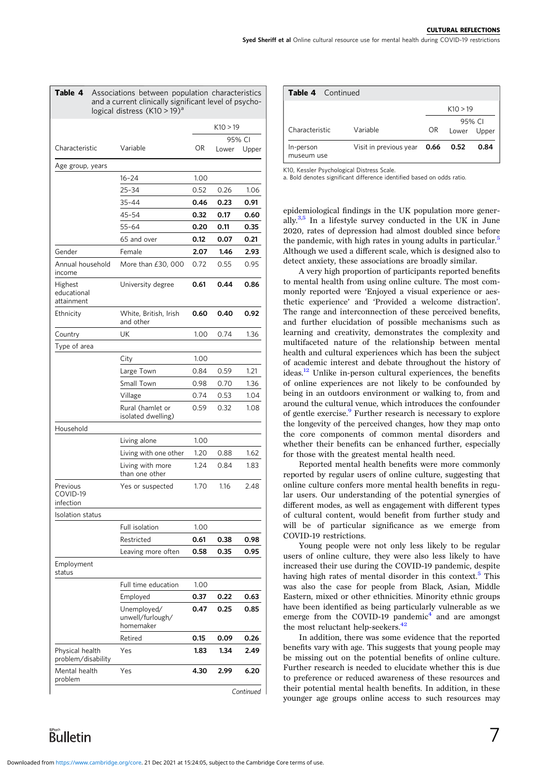<span id="page-6-0"></span>

| Table 4                               | Associations between population characteristics<br>and a current clinically significant level of psycho-<br>logical distress (K10 > 19) <sup>a</sup> |          |       |                 |  |
|---------------------------------------|------------------------------------------------------------------------------------------------------------------------------------------------------|----------|-------|-----------------|--|
|                                       |                                                                                                                                                      | K10 > 19 |       |                 |  |
| Characteristic                        | Variable                                                                                                                                             | OR       | Lower | 95% CI<br>Upper |  |
| Age group, years                      |                                                                                                                                                      |          |       |                 |  |
|                                       | 16-24                                                                                                                                                | 1.00     |       |                 |  |
|                                       | $25 - 34$                                                                                                                                            | 0.52     | 0.26  | 1.06            |  |
|                                       | $35 - 44$                                                                                                                                            | 0.46     | 0.23  | 0.91            |  |
|                                       | 45-54                                                                                                                                                | 0.32     | 0.17  | 0.60            |  |
|                                       | 55-64                                                                                                                                                | 0.20     | 0.11  | 0.35            |  |
|                                       | 65 and over                                                                                                                                          | 0.12     | 0.07  | 0.21            |  |
| Gender                                | Female                                                                                                                                               | 2.07     | 1.46  | 2.93            |  |
| Annual household<br>income            | More than £30, 000                                                                                                                                   | 0.72     | 0.55  | 0.95            |  |
| Highest<br>educational<br>attainment  | University degree                                                                                                                                    | 0.61     | 0.44  | 0.86            |  |
| Ethnicity                             | White, British, Irish<br>and other                                                                                                                   | 0.60     | 0.40  | 0.92            |  |
| Country                               | UK                                                                                                                                                   | 1.00     | 0.74  | 1.36            |  |
| Type of area                          |                                                                                                                                                      |          |       |                 |  |
|                                       | City                                                                                                                                                 | 1.00     |       |                 |  |
|                                       | Large Town                                                                                                                                           | 0.84     | 0.59  | 1.21            |  |
|                                       | Small Town                                                                                                                                           | 0.98     | 0.70  | 1.36            |  |
|                                       | Village                                                                                                                                              | 0.74     | 0.53  | 1.04            |  |
|                                       | Rural (hamlet or<br>isolated dwelling)                                                                                                               | 0.59     | 0.32  | 1.08            |  |
| Household                             |                                                                                                                                                      |          |       |                 |  |
|                                       | Living alone                                                                                                                                         | 1.00     |       |                 |  |
|                                       | Living with one other                                                                                                                                | 1.20     | 0.88  | 1.62            |  |
|                                       | Living with more<br>than one other                                                                                                                   | 1.24     | 0.84  | 1.83            |  |
| Previous<br>COVID-19<br>infection     | Yes or suspected                                                                                                                                     | 1.70     | 1.16  | 2.48            |  |
| Isolation status                      |                                                                                                                                                      |          |       |                 |  |
|                                       | Full isolation                                                                                                                                       | 1.00     |       |                 |  |
|                                       | Restricted                                                                                                                                           | 0.61     | 0.38  | 0.98            |  |
|                                       | Leaving more often                                                                                                                                   | 0.58     | 0.35  | 0.95            |  |
| Employment<br>status                  |                                                                                                                                                      |          |       |                 |  |
|                                       | Full time education                                                                                                                                  | 1.00     |       |                 |  |
|                                       | Employed                                                                                                                                             | 0.37     | 0.22  | 0.63            |  |
|                                       | Unemployed/<br>unwell/furlough/<br>homemaker                                                                                                         | 0.47     | 0.25  | 0.85            |  |
|                                       | Retired                                                                                                                                              | 0.15     | 0.09  | 0.26            |  |
| Physical health<br>problem/disability | Yes                                                                                                                                                  | 1.83     | 1.34  | 2.49            |  |
| Mental health<br>problem              | Yes                                                                                                                                                  | 4.30     | 2.99  | 6.20            |  |

Continued

| <b>Table 4</b> Continued |                             |     |                       |      |
|--------------------------|-----------------------------|-----|-----------------------|------|
|                          |                             |     | K10 > 19              |      |
| Characteristic           | Variable                    | OR. | 95% CI<br>Lower Upper |      |
| In-person<br>museum use  | Visit in previous year 0.66 |     | 0.52                  | 0.84 |

K10, Kessler Psychological Distress Scale.

a. Bold denotes significant difference identified based on odds ratio.

epidemiological findings in the UK population more generally.<sup>3,5</sup> In a lifestyle survey conducted in the UK in June 2020, rates of depression had almost doubled since before the pandemic, with high rates in young adults in particular.<sup>[5](#page-8-0)</sup> Although we used a different scale, which is designed also to detect anxiety, these associations are broadly similar.

A very high proportion of participants reported benefits to mental health from using online culture. The most commonly reported were 'Enjoyed a visual experience or aesthetic experience' and 'Provided a welcome distraction'. The range and interconnection of these perceived benefits, and further elucidation of possible mechanisms such as learning and creativity, demonstrates the complexity and multifaceted nature of the relationship between mental health and cultural experiences which has been the subject of academic interest and debate throughout the history of ideas.<sup>[12](#page-8-0)</sup> Unlike in-person cultural experiences, the benefits of online experiences are not likely to be confounded by being in an outdoors environment or walking to, from and around the cultural venue, which introduces the confounder of gentle exercise.<sup>[9](#page-8-0)</sup> Further research is necessary to explore the longevity of the perceived changes, how they map onto the core components of common mental disorders and whether their benefits can be enhanced further, especially for those with the greatest mental health need.

Reported mental health benefits were more commonly reported by regular users of online culture, suggesting that online culture confers more mental health benefits in regular users. Our understanding of the potential synergies of different modes, as well as engagement with different types of cultural content, would benefit from further study and will be of particular significance as we emerge from COVID-19 restrictions.

Young people were not only less likely to be regular users of online culture, they were also less likely to have increased their use during the COVID-19 pandemic, despite having high rates of mental disorder in this context.<sup>5</sup> This was also the case for people from Black, Asian, Middle Eastern, mixed or other ethnicities. Minority ethnic groups have been identified as being particularly vulnerable as we emerge from the COVID-19 pandemic $4$  and are amongst the most reluctant help-seekers.<sup>42</sup>

In addition, there was some evidence that the reported benefits vary with age. This suggests that young people may be missing out on the potential benefits of online culture. Further research is needed to elucidate whether this is due to preference or reduced awareness of these resources and their potential mental health benefits. In addition, in these younger age groups online access to such resources may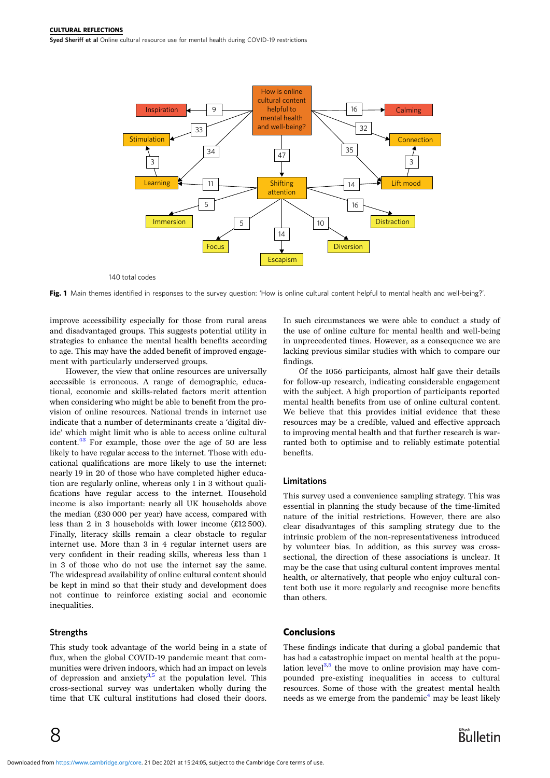<span id="page-7-0"></span>Syed Sheriff et al Online cultural resource use for mental health during COVID-19 restrictions



140 total codes

Fig. 1 Main themes identified in responses to the survey question: 'How is online cultural content helpful to mental health and well-being?'.

improve accessibility especially for those from rural areas and disadvantaged groups. This suggests potential utility in strategies to enhance the mental health benefits according to age. This may have the added benefit of improved engagement with particularly underserved groups.

However, the view that online resources are universally accessible is erroneous. A range of demographic, educational, economic and skills-related factors merit attention when considering who might be able to benefit from the provision of online resources. National trends in internet use indicate that a number of determinants create a 'digital divide' which might limit who is able to access online cultural content.[43](#page-9-0) For example, those over the age of 50 are less likely to have regular access to the internet. Those with educational qualifications are more likely to use the internet: nearly 19 in 20 of those who have completed higher education are regularly online, whereas only 1 in 3 without qualifications have regular access to the internet. Household income is also important: nearly all UK households above the median (£30 000 per year) have access, compared with less than 2 in 3 households with lower income (£12 500). Finally, literacy skills remain a clear obstacle to regular internet use. More than 3 in 4 regular internet users are very confident in their reading skills, whereas less than 1 in 3 of those who do not use the internet say the same. The widespread availability of online cultural content should be kept in mind so that their study and development does not continue to reinforce existing social and economic inequalities.

#### **Strengths**

This study took advantage of the world being in a state of flux, when the global COVID-19 pandemic meant that communities were driven indoors, which had an impact on levels of depression and anxiety $3,5$  at the population level. This cross-sectional survey was undertaken wholly during the time that UK cultural institutions had closed their doors.

In such circumstances we were able to conduct a study of the use of online culture for mental health and well-being in unprecedented times. However, as a consequence we are lacking previous similar studies with which to compare our findings.

Of the 1056 participants, almost half gave their details for follow-up research, indicating considerable engagement with the subject. A high proportion of participants reported mental health benefits from use of online cultural content. We believe that this provides initial evidence that these resources may be a credible, valued and effective approach to improving mental health and that further research is warranted both to optimise and to reliably estimate potential benefits.

#### Limitations

This survey used a convenience sampling strategy. This was essential in planning the study because of the time-limited nature of the initial restrictions. However, there are also clear disadvantages of this sampling strategy due to the intrinsic problem of the non-representativeness introduced by volunteer bias. In addition, as this survey was crosssectional, the direction of these associations is unclear. It may be the case that using cultural content improves mental health, or alternatively, that people who enjoy cultural content both use it more regularly and recognise more benefits than others.

#### **Conclusions**

These findings indicate that during a global pandemic that has had a catastrophic impact on mental health at the population level $^{3,5}$  the move to online provision may have compounded pre-existing inequalities in access to cultural resources. Some of those with the greatest mental health needs as we emerge from the pandemic<sup>4</sup> may be least likely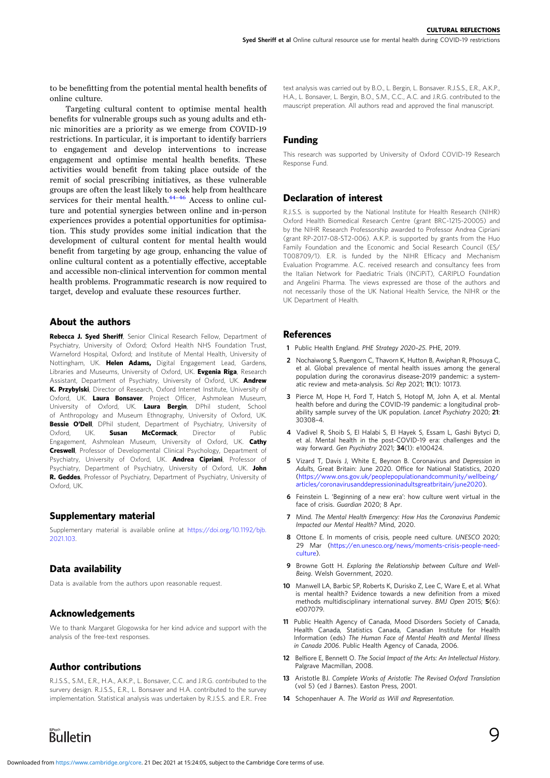<span id="page-8-0"></span>to be benefitting from the potential mental health benefits of online culture.

Targeting cultural content to optimise mental health benefits for vulnerable groups such as young adults and ethnic minorities are a priority as we emerge from COVID-19 restrictions. In particular, it is important to identify barriers to engagement and develop interventions to increase engagement and optimise mental health benefits. These activities would benefit from taking place outside of the remit of social prescribing initiatives, as these vulnerable groups are often the least likely to seek help from healthcare services for their mental health. $44-46$  $44-46$  $44-46$  Access to online culture and potential synergies between online and in-person experiences provides a potential opportunities for optimisation. This study provides some initial indication that the development of cultural content for mental health would benefit from targeting by age group, enhancing the value of online cultural content as a potentially effective, acceptable and accessible non-clinical intervention for common mental health problems. Programmatic research is now required to target, develop and evaluate these resources further.

## About the authors

Rebecca J. Syed Sheriff, Senior Clinical Research Fellow, Department of Psychiatry, University of Oxford; Oxford Health NHS Foundation Trust, Warneford Hospital, Oxford; and Institute of Mental Health, University of Nottingham, UK. Helen Adams, Digital Engagement Lead, Gardens, Libraries and Museums, University of Oxford, UK. Evgenia Riga, Research Assistant, Department of Psychiatry, University of Oxford, UK. Andrew K. Przybylski, Director of Research, Oxford Internet Institute, University of Oxford, UK. Laura Bonsaver, Project Officer, Ashmolean Museum, University of Oxford, UK. Laura Bergin, DPhil student, School of Anthropology and Museum Ethnography, University of Oxford, UK. Bessie O'Dell, DPhil student, Department of Psychiatry, University of Oxford, UK. **Susan McCormack**, Director of Public Engagement, Ashmolean Museum, University of Oxford, UK. Cathy Creswell, Professor of Developmental Clinical Psychology, Department of Psychiatry, University of Oxford, UK. **Andrea Cipriani**, Professor of Psychiatry, Department of Psychiatry, University of Oxford, UK. John R. Geddes, Professor of Psychiatry, Department of Psychiatry, University of Oxford, UK.

# Supplementary material

Supplementary material is available online at [https://doi.org/10.1192/bjb.](https://doi.org/10.1192/bjb.2021.103) [2021.103.](https://doi.org/10.1192/bjb.2021.103)

# Data availability

Data is available from the authors upon reasonable request.

# Acknowledgements

We to thank Margaret Glogowska for her kind advice and support with the analysis of the free-text responses.

# Author contributions

R.J.S.S., S.M., E.R., H.A., A.K.P., L. Bonsaver, C.C. and J.R.G. contributed to the survery design. R.J.S.S., E.R., L. Bonsaver and H.A. contributed to the survey implementation. Statistical analysis was undertaken by R.J.S.S. and E.R.. Free

text analysis was carried out by B.O., L. Bergin, L. Bonsaver. R.J.S.S., E.R., A.K.P., H.A., L. Bonsaver, L. Bergin, B.O., S.M., C.C., A.C. and J.R.G. contributed to the mauscript preperation. All authors read and approved the final manuscript.

# Funding

This research was supported by University of Oxford COVID-19 Research Response Fund.

# Declaration of interest

R.J.S.S. is supported by the National Institute for Health Research (NIHR) Oxford Health Biomedical Research Centre (grant BRC-1215-20005) and by the NIHR Research Professorship awarded to Professor Andrea Cipriani (grant RP-2017-08-ST2-006). A.K.P. is supported by grants from the Huo Family Foundation and the Economic and Social Research Council (ES/ T008709/1). E.R. is funded by the NIHR Efficacy and Mechanism Evaluation Programme. A.C. received research and consultancy fees from the Italian Network for Paediatric Trials (INCiPiT), CARIPLO Foundation and Angelini Pharma. The views expressed are those of the authors and not necessarily those of the UK National Health Service, the NIHR or the UK Department of Health.

#### **References**

- 1 Public Health England. PHE Strategy 2020–25. PHE, 2019.
- 2 Nochaiwong S, Ruengorn C, Thavorn K, Hutton B, Awiphan R, Phosuya C, et al. Global prevalence of mental health issues among the general population during the coronavirus disease-2019 pandemic: a systematic review and meta-analysis. Sci Rep 2021; 11(1): 10173.
- 3 Pierce M, Hope H, Ford T, Hatch S, Hotopf M, John A, et al. Mental health before and during the COVID-19 pandemic: a longitudinal probability sample survey of the UK population. Lancet Psychiatry 2020; 21: 30308–4.
- 4 Vadivel R, Shoib S, El Halabi S, El Hayek S, Essam L, Gashi Bytyci D, et al. Mental health in the post-COVID-19 era: challenges and the way forward. Gen Psychiatry 2021; 34(1): e100424.
- 5 Vizard T, Davis J, White E, Beynon B. Coronavirus and Depression in Adults, Great Britain: June 2020. Office for National Statistics, 2020 [\(https://www.ons.gov.uk/peoplepopulationandcommunity/wellbeing/](https://www.ons.gov.uk/peoplepopulationandcommunity/wellbeing/articles/coronavirusanddepressioninadultsgreatbritain/june2020) [articles/coronavirusanddepressioninadultsgreatbritain/june2020\)](https://www.ons.gov.uk/peoplepopulationandcommunity/wellbeing/articles/coronavirusanddepressioninadultsgreatbritain/june2020).
- 6 Feinstein L. 'Beginning of a new era': how culture went virtual in the face of crisis. Guardian 2020; 8 Apr.
- 7 Mind. The Mental Health Emergency: How Has the Coronavirus Pandemic Impacted our Mental Health? Mind, 2020.
- 8 Ottone E. In moments of crisis, people need culture. UNESCO 2020; 29 Mar ([https://en.unesco.org/news/moments-crisis-people-need](https://en.unesco.org/news/moments-crisis-people-need-culture)[culture](https://en.unesco.org/news/moments-crisis-people-need-culture)).
- Browne Gott H. Exploring the Relationship between Culture and Well-Being. Welsh Government, 2020.
- 10 Manwell LA, Barbic SP, Roberts K, Durisko Z, Lee C, Ware E, et al. What is mental health? Evidence towards a new definition from a mixed methods multidisciplinary international survey. BMJ Open 2015; 5(6): e007079.
- 11 Public Health Agency of Canada, Mood Disorders Society of Canada, Health Canada, Statistics Canada, Canadian Institute for Health Information (eds) The Human Face of Mental Health and Mental Illness in Canada 2006. Public Health Agency of Canada, 2006.
- 12 Belfiore E, Bennett O. The Social Impact of the Arts: An Intellectual History. Palgrave Macmillan, 2008.
- 13 Aristotle BJ. Complete Works of Aristotle: The Revised Oxford Translation (vol 5) (ed J Barnes). Easton Press, 2001.
- 14 Schopenhauer A. The World as Will and Representation.